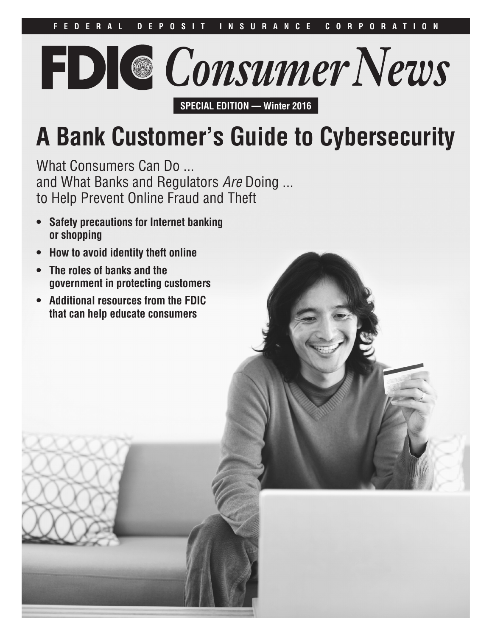



**A Bank Customer's Guide to Cybersecurity**

What Consumers Can Do ... and What Banks and Regulators *Are* Doing ... to Help Prevent Online Fraud and Theft

- **• Safety precautions for Internet banking or shopping**
- **• How to avoid identity theft online**
- **• The roles of banks and the government in protecting customers**
- **• Additional resources from the FDIC that can help educate consumers**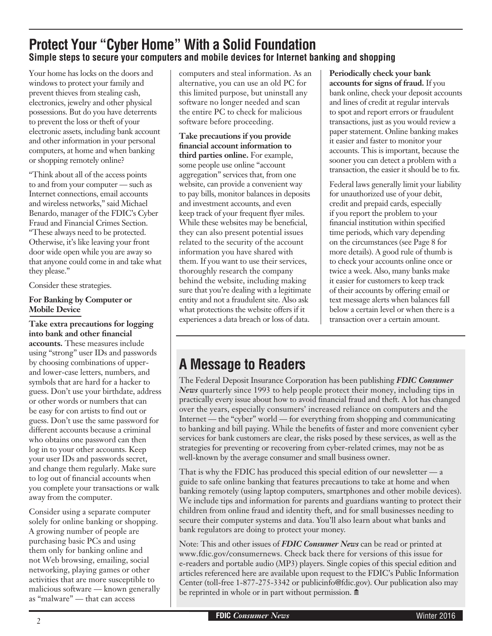## **Protect Your "Cyber Home" With a Solid Foundation Simple steps to secure your computers and mobile devices for Internet banking and shopping**

Your home has locks on the doors and windows to protect your family and prevent thieves from stealing cash, electronics, jewelry and other physical possessions. But do you have deterrents to prevent the loss or theft of your electronic assets, including bank account and other information in your personal computers, at home and when banking or shopping remotely online?

"Think about all of the access points to and from your computer — such as Internet connections, email accounts and wireless networks," said Michael Benardo, manager of the FDIC's Cyber Fraud and Financial Crimes Section. "These always need to be protected. Otherwise, it's like leaving your front door wide open while you are away so that anyone could come in and take what they please."

Consider these strategies.

## **For Banking by Computer or Mobile Device**

**Take extra precautions for logging into bank and other financial accounts.** These measures include using "strong" user IDs and passwords by choosing combinations of upperand lower-case letters, numbers, and symbols that are hard for a hacker to guess. Don't use your birthdate, address or other words or numbers that can be easy for con artists to find out or guess. Don't use the same password for different accounts because a criminal who obtains one password can then log in to your other accounts. Keep your user IDs and passwords secret, and change them regularly. Make sure to log out of financial accounts when you complete your transactions or walk away from the computer.

Consider using a separate computer solely for online banking or shopping. A growing number of people are purchasing basic PCs and using them only for banking online and not Web browsing, emailing, social networking, playing games or other activities that are more susceptible to malicious software — known generally as "malware" — that can access

computers and steal information. As an alternative, you can use an old PC for this limited purpose, but uninstall any software no longer needed and scan the entire PC to check for malicious software before proceeding.

**Take precautions if you provide financial account information to third parties online.** For example, some people use online "account aggregation" services that, from one website, can provide a convenient way to pay bills, monitor balances in deposits and investment accounts, and even keep track of your frequent flyer miles. While these websites may be beneficial, they can also present potential issues related to the security of the account information you have shared with them. If you want to use their services, thoroughly research the company behind the website, including making sure that you're dealing with a legitimate entity and not a fraudulent site. Also ask what protections the website offers if it experiences a data breach or loss of data.

**Periodically check your bank accounts for signs of fraud.** If you bank online, check your deposit accounts and lines of credit at regular intervals to spot and report errors or fraudulent transactions, just as you would review a paper statement. Online banking makes it easier and faster to monitor your accounts. This is important, because the sooner you can detect a problem with a transaction, the easier it should be to fix.

Federal laws generally limit your liability for unauthorized use of your debit, credit and prepaid cards, especially if you report the problem to your financial institution within specified time periods, which vary depending on the circumstances (see Page 8 for more details). A good rule of thumb is to check your accounts online once or twice a week. Also, many banks make it easier for customers to keep track of their accounts by offering email or text message alerts when balances fall below a certain level or when there is a transaction over a certain amount.

# **A Message to Readers**

The Federal Deposit Insurance Corporation has been publishing *FDIC Consumer News* quarterly since 1993 to help people protect their money, including tips in practically every issue about how to avoid financial fraud and theft. A lot has changed over the years, especially consumers' increased reliance on computers and the Internet — the "cyber" world — for everything from shopping and communicating to banking and bill paying. While the benefits of faster and more convenient cyber services for bank customers are clear, the risks posed by these services, as well as the strategies for preventing or recovering from cyber-related crimes, may not be as well-known by the average consumer and small business owner.

That is why the FDIC has produced this special edition of our newsletter — a guide to safe online banking that features precautions to take at home and when banking remotely (using laptop computers, smartphones and other mobile devices). We include tips and information for parents and guardians wanting to protect their children from online fraud and identity theft, and for small businesses needing to secure their computer systems and data. You'll also learn about what banks and bank regulators are doing to protect your money.

Note: This and other issues of *FDIC Consumer News* can be read or printed at www.fdic.gov/consumernews. Check back there for versions of this issue for e-readers and portable audio (MP3) players. Single copies of this special edition and articles referenced here are available upon request to the FDIC's Public Information Center (toll-free 1-877-275-3342 or publicinfo@fdic.gov). Our publication also may be reprinted in whole or in part without permission.  $\mathbf{\hat{m}}$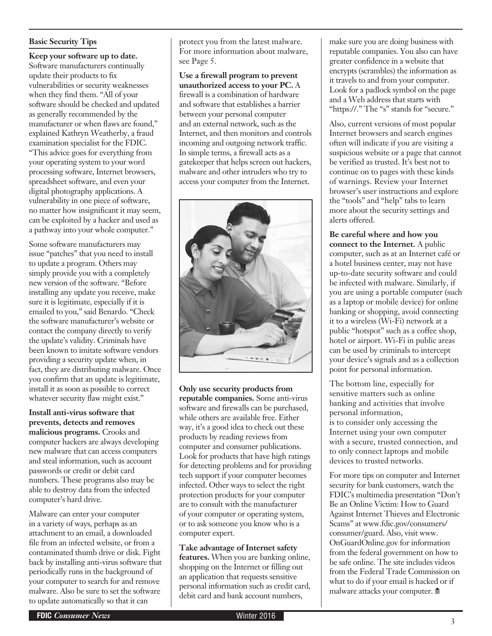#### **Basic Security Tips**

**Keep your software up to date.**  Software manufacturers continually update their products to fix vulnerabilities or security weaknesses when they find them. "All of your software should be checked and updated as generally recommended by the manufacturer or when flaws are found," explained Kathryn Weatherby, a fraud examination specialist for the FDIC. "This advice goes for everything from your operating system to your word processing software, Internet browsers, spreadsheet software, and even your digital photography applications. A vulnerability in one piece of software, no matter how insignificant it may seem, can be exploited by a hacker and used as a pathway into your whole computer."

Some software manufacturers may issue "patches" that you need to install to update a program. Others may simply provide you with a completely new version of the software. "Before installing any update you receive, make sure it is legitimate, especially if it is emailed to you," said Benardo. "Check the software manufacturer's website or contact the company directly to verify the update's validity. Criminals have been known to imitate software vendors providing a security update when, in fact, they are distributing malware. Once you confirm that an update is legitimate, install it as soon as possible to correct whatever security flaw might exist."

**Install anti-virus software that prevents, detects and removes malicious programs.** Crooks and computer hackers are always developing new malware that can access computers and steal information, such as account passwords or credit or debit card numbers. These programs also may be able to destroy data from the infected computer's hard drive.

Malware can enter your computer in a variety of ways, perhaps as an attachment to an email, a downloaded file from an infected website, or from a contaminated thumb drive or disk. Fight back by installing anti-virus software that periodically runs in the background of your computer to search for and remove malware. Also be sure to set the software to update automatically so that it can

protect you from the latest malware. For more information about malware, see Page 5.

**Use a firewall program to prevent unauthorized access to your PC.** A firewall is a combination of hardware and software that establishes a barrier between your personal computer and an external network, such as the Internet, and then monitors and controls incoming and outgoing network traffic. In simple terms, a firewall acts as a gatekeeper that helps screen out hackers, malware and other intruders who try to access your computer from the Internet.



**Only use security products from reputable companies.** Some anti-virus software and firewalls can be purchased, while others are available free. Either way, it's a good idea to check out these products by reading reviews from computer and consumer publications. Look for products that have high ratings for detecting problems and for providing tech support if your computer becomes infected. Other ways to select the right protection products for your computer are to consult with the manufacturer of your computer or operating system, or to ask someone you know who is a computer expert.

**Take advantage of Internet safety features.** When you are banking online, shopping on the Internet or filling out an application that requests sensitive personal information such as credit card, debit card and bank account numbers,

make sure you are doing business with reputable companies. You also can have greater confidence in a website that encrypts (scrambles) the information as it travels to and from your computer. Look for a padlock symbol on the page and a Web address that starts with "https://." The "s" stands for "secure."

Also, current versions of most popular Internet browsers and search engines often will indicate if you are visiting a suspicious website or a page that cannot be verified as trusted. It's best not to continue on to pages with these kinds of warnings. Review your Internet browser's user instructions and explore the "tools" and "help" tabs to learn more about the security settings and alerts offered.

**Be careful where and how you connect to the Internet.** A public computer, such as at an Internet café or a hotel business center, may not have up-to-date security software and could be infected with malware. Similarly, if you are using a portable computer (such as a laptop or mobile device) for online banking or shopping, avoid connecting it to a wireless (Wi-Fi) network at a public "hotspot" such as a coffee shop, hotel or airport. Wi-Fi in public areas can be used by criminals to intercept your device's signals and as a collection point for personal information.

The bottom line, especially for sensitive matters such as online banking and activities that involve personal information, is to consider only accessing the Internet using your own computer with a secure, trusted connection, and to only connect laptops and mobile devices to trusted networks.

For more tips on computer and Internet security for bank customers, watch the FDIC's multimedia presentation "Don't Be an Online Victim: How to Guard Against Internet Thieves and Electronic Scams" at www.fdic.gov/consumers/ consumer/guard. Also, visit www. OnGuardOnline.gov for information from the federal government on how to be safe online. The site includes videos from the Federal Trade Commission on what to do if your email is hacked or if malware attacks your computer.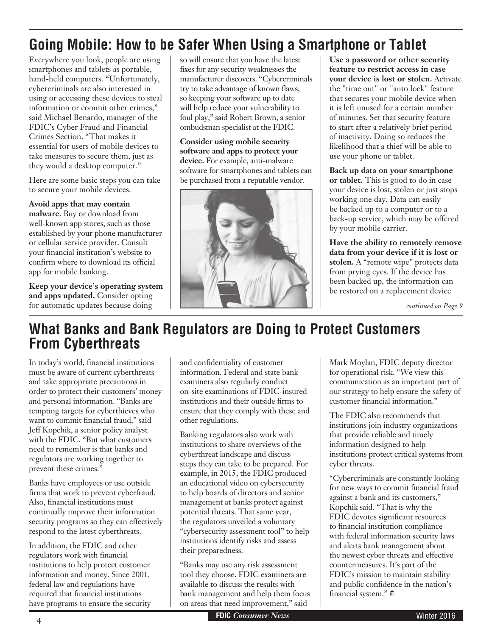# **Going Mobile: How to be Safer When Using a Smartphone or Tablet**

Everywhere you look, people are using smartphones and tablets as portable, hand-held computers. "Unfortunately, cybercriminals are also interested in using or accessing these devices to steal information or commit other crimes," said Michael Benardo, manager of the FDIC's Cyber Fraud and Financial Crimes Section. "That makes it essential for users of mobile devices to take measures to secure them, just as they would a desktop computer."

Here are some basic steps you can take to secure your mobile devices.

**Avoid apps that may contain malware.** Buy or download from well-known app stores, such as those established by your phone manufacturer or cellular service provider. Consult your financial institution's website to confirm where to download its official app for mobile banking.

**Keep your device's operating system and apps updated.** Consider opting for automatic updates because doing

so will ensure that you have the latest fixes for any security weaknesses the manufacturer discovers. "Cybercriminals try to take advantage of known flaws, so keeping your software up to date will help reduce your vulnerability to foul play," said Robert Brown, a senior ombudsman specialist at the FDIC.

**Consider using mobile security software and apps to protect your device.** For example, anti-malware software for smartphones and tablets can be purchased from a reputable vendor.



**Use a password or other security feature to restrict access in case your device is lost or stolen.** Activate the "time out" or "auto lock" feature that secures your mobile device when it is left unused for a certain number of minutes. Set that security feature to start after a relatively brief period of inactivity. Doing so reduces the likelihood that a thief will be able to use your phone or tablet.

**Back up data on your smartphone or tablet.** This is good to do in case your device is lost, stolen or just stops working one day. Data can easily be backed up to a computer or to a back-up service, which may be offered by your mobile carrier.

**Have the ability to remotely remove data from your device if it is lost or stolen.** A "remote wipe" protects data from prying eyes. If the device has been backed up, the information can be restored on a replacement device

*continued on Page 9*

## **What Banks and Bank Regulators are Doing to Protect Customers From Cyberthreats**

In today's world, financial institutions must be aware of current cyberthreats and take appropriate precautions in order to protect their customers' money and personal information. "Banks are tempting targets for cyberthieves who want to commit financial fraud," said Jeff Kopchik, a senior policy analyst with the FDIC. "But what customers need to remember is that banks and regulators are working together to prevent these crimes."

Banks have employees or use outside firms that work to prevent cyberfraud. Also, financial institutions must continually improve their information security programs so they can effectively respond to the latest cyberthreats.

In addition, the FDIC and other regulators work with financial institutions to help protect customer information and money. Since 2001, federal law and regulations have required that financial institutions have programs to ensure the security and confidentiality of customer information. Federal and state bank examiners also regularly conduct on-site examinations of FDIC-insured institutions and their outside firms to ensure that they comply with these and other regulations.

Banking regulators also work with institutions to share overviews of the cyberthreat landscape and discuss steps they can take to be prepared. For example, in 2015, the FDIC produced an educational video on cybersecurity to help boards of directors and senior management at banks protect against potential threats. That same year, the regulators unveiled a voluntary "cybersecurity assessment tool" to help institutions identify risks and assess their preparedness.

"Banks may use any risk assessment tool they choose. FDIC examiners are available to discuss the results with bank management and help them focus on areas that need improvement," said

Mark Moylan, FDIC deputy director for operational risk. "We view this communication as an important part of our strategy to help ensure the safety of customer financial information."

The FDIC also recommends that institutions join industry organizations that provide reliable and timely information designed to help institutions protect critical systems from cyber threats.

"Cybercriminals are constantly looking for new ways to commit financial fraud against a bank and its customers," Kopchik said. "That is why the FDIC devotes significant resources to financial institution compliance with federal information security laws and alerts bank management about the newest cyber threats and effective countermeasures. It's part of the FDIC's mission to maintain stability and public confidence in the nation's financial system."  $\hat{m}$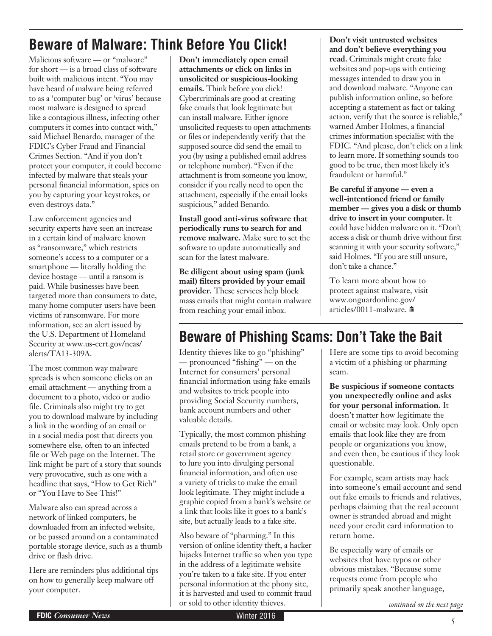# **Beware of Malware: Think Before You Click!**

Malicious software — or "malware" for short — is a broad class of software built with malicious intent. "You may have heard of malware being referred to as a 'computer bug' or 'virus' because most malware is designed to spread like a contagious illness, infecting other computers it comes into contact with," said Michael Benardo, manager of the FDIC's Cyber Fraud and Financial Crimes Section. "And if you don't protect your computer, it could become infected by malware that steals your personal financial information, spies on you by capturing your keystrokes, or even destroys data."

Law enforcement agencies and security experts have seen an increase in a certain kind of malware known as "ransomware," which restricts someone's access to a computer or a smartphone — literally holding the device hostage — until a ransom is paid. While businesses have been targeted more than consumers to date, many home computer users have been victims of ransomware. For more information, see an alert issued by the U.S. Department of Homeland Security at www.us-cert.gov/ncas/ alerts/TA13-309A.

The most common way malware spreads is when someone clicks on an email attachment — anything from a document to a photo, video or audio file. Criminals also might try to get you to download malware by including a link in the wording of an email or in a social media post that directs you somewhere else, often to an infected file or Web page on the Internet. The link might be part of a story that sounds very provocative, such as one with a headline that says, "How to Get Rich" or "You Have to See This!"

Malware also can spread across a network of linked computers, be downloaded from an infected website, or be passed around on a contaminated portable storage device, such as a thumb drive or flash drive.

Here are reminders plus additional tips on how to generally keep malware off your computer.

**Don't immediately open email attachments or click on links in unsolicited or suspicious-looking emails.** Think before you click! Cybercriminals are good at creating fake emails that look legitimate but can install malware. Either ignore unsolicited requests to open attachments or files or independently verify that the supposed source did send the email to you (by using a published email address or telephone number). "Even if the attachment is from someone you know, consider if you really need to open the attachment, especially if the email looks suspicious," added Benardo.

**Install good anti-virus software that periodically runs to search for and remove malware.** Make sure to set the software to update automatically and scan for the latest malware.

**Be diligent about using spam (junk mail) filters provided by your email provider.** These services help block mass emails that might contain malware from reaching your email inbox.

**Don't visit untrusted websites and don't believe everything you read.** Criminals might create fake websites and pop-ups with enticing messages intended to draw you in and download malware. "Anyone can publish information online, so before accepting a statement as fact or taking action, verify that the source is reliable," warned Amber Holmes, a financial crimes information specialist with the FDIC. "And please, don't click on a link to learn more. If something sounds too good to be true, then most likely it's fraudulent or harmful."

**Be careful if anyone — even a well-intentioned friend or family member — gives you a disk or thumb drive to insert in your computer.** It could have hidden malware on it. "Don't access a disk or thumb drive without first scanning it with your security software," said Holmes. "If you are still unsure, don't take a chance."

To learn more about how to protect against malware, visit www.onguardonline.gov/ articles/0011-malware.  $\text{m}$ 

# **Beware of Phishing Scams: Don't Take the Bait**

Identity thieves like to go "phishing" — pronounced "fishing" — on the Internet for consumers' personal financial information using fake emails and websites to trick people into providing Social Security numbers, bank account numbers and other valuable details.

Typically, the most common phishing emails pretend to be from a bank, a retail store or government agency to lure you into divulging personal financial information, and often use a variety of tricks to make the email look legitimate. They might include a graphic copied from a bank's website or a link that looks like it goes to a bank's site, but actually leads to a fake site.

Also beware of "pharming." In this version of online identity theft, a hacker hijacks Internet traffic so when you type in the address of a legitimate website you're taken to a fake site. If you enter personal information at the phony site, it is harvested and used to commit fraud or sold to other identity thieves.

Here are some tips to avoid becoming a victim of a phishing or pharming scam.

**Be suspicious if someone contacts you unexpectedly online and asks for your personal information.** It doesn't matter how legitimate the email or website may look. Only open emails that look like they are from people or organizations you know, and even then, be cautious if they look questionable.

For example, scam artists may hack into someone's email account and send out fake emails to friends and relatives, perhaps claiming that the real account owner is stranded abroad and might need your credit card information to return home.

Be especially wary of emails or websites that have typos or other obvious mistakes. "Because some requests come from people who primarily speak another language,

*continued on the next page*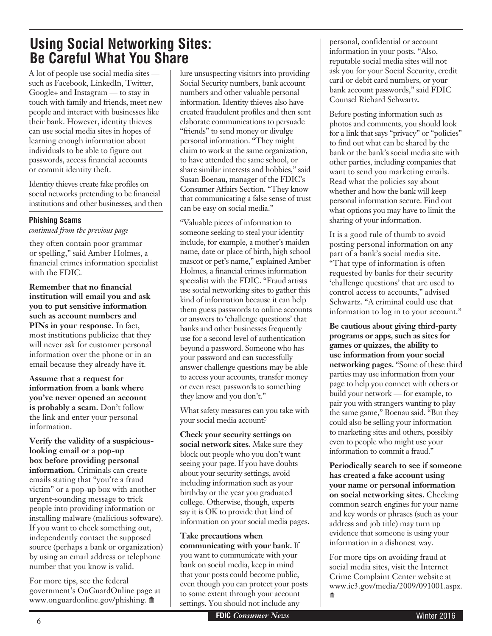## **Using Social Networking Sites: Be Careful What You Share**

A lot of people use social media sites such as Facebook, LinkedIn, Twitter, Google+ and Instagram — to stay in touch with family and friends, meet new people and interact with businesses like their bank. However, identity thieves can use social media sites in hopes of learning enough information about individuals to be able to figure out passwords, access financial accounts or commit identity theft.

Identity thieves create fake profiles on social networks pretending to be financial institutions and other businesses, and then

## **Phishing Scams**

*continued from the previous page*

they often contain poor grammar or spelling," said Amber Holmes, a financial crimes information specialist with the FDIC.

**Remember that no financial institution will email you and ask you to put sensitive information such as account numbers and PINs in your response.** In fact, most institutions publicize that they will never ask for customer personal information over the phone or in an email because they already have it.

**Assume that a request for information from a bank where you've never opened an account is probably a scam.** Don't follow the link and enter your personal information.

**Verify the validity of a suspiciouslooking email or a pop-up box before providing personal information.** Criminals can create emails stating that "you're a fraud victim" or a pop-up box with another urgent-sounding message to trick people into providing information or installing malware (malicious software). If you want to check something out, independently contact the supposed source (perhaps a bank or organization) by using an email address or telephone number that you know is valid.

For more tips, see the federal government's OnGuardOnline page at www.onguardonline.gov/phishing.  $\text{I}$ 

lure unsuspecting visitors into providing Social Security numbers, bank account numbers and other valuable personal information. Identity thieves also have created fraudulent profiles and then sent elaborate communications to persuade "friends" to send money or divulge personal information. "They might claim to work at the same organization, to have attended the same school, or share similar interests and hobbies," said Susan Boenau, manager of the FDIC's Consumer Affairs Section. "They know that communicating a false sense of trust can be easy on social media."

"Valuable pieces of information to someone seeking to steal your identity include, for example, a mother's maiden name, date or place of birth, high school mascot or pet's name," explained Amber Holmes, a financial crimes information specialist with the FDIC. "Fraud artists use social networking sites to gather this kind of information because it can help them guess passwords to online accounts or answers to 'challenge questions' that banks and other businesses frequently use for a second level of authentication beyond a password. Someone who has your password and can successfully answer challenge questions may be able to access your accounts, transfer money or even reset passwords to something they know and you don't."

What safety measures can you take with your social media account?

**Check your security settings on social network sites.** Make sure they block out people who you don't want seeing your page. If you have doubts about your security settings, avoid including information such as your birthday or the year you graduated college. Otherwise, though, experts say it is OK to provide that kind of information on your social media pages.

**Take precautions when communicating with your bank.** If you want to communicate with your bank on social media, keep in mind that your posts could become public, even though you can protect your posts to some extent through your account settings. You should not include any

personal, confidential or account information in your posts. "Also, reputable social media sites will not ask you for your Social Security, credit card or debit card numbers, or your bank account passwords," said FDIC Counsel Richard Schwartz.

Before posting information such as photos and comments, you should look for a link that says "privacy" or "policies" to find out what can be shared by the bank or the bank's social media site with other parties, including companies that want to send you marketing emails. Read what the policies say about whether and how the bank will keep personal information secure. Find out what options you may have to limit the sharing of your information.

It is a good rule of thumb to avoid posting personal information on any part of a bank's social media site. "That type of information is often requested by banks for their security 'challenge questions' that are used to control access to accounts," advised Schwartz. "A criminal could use that information to log in to your account."

**Be cautious about giving third-party programs or apps, such as sites for games or quizzes, the ability to use information from your social networking pages.** "Some of these third parties may use information from your page to help you connect with others or build your network — for example, to pair you with strangers wanting to play the same game," Boenau said. "But they could also be selling your information to marketing sites and others, possibly even to people who might use your information to commit a fraud."

**Periodically search to see if someone has created a fake account using your name or personal information on social networking sites.** Checking common search engines for your name and key words or phrases (such as your address and job title) may turn up evidence that someone is using your information in a dishonest way.

For more tips on avoiding fraud at social media sites, visit the Internet Crime Complaint Center website at www.ic3.gov/media/2009/091001.aspx.  $\blacksquare$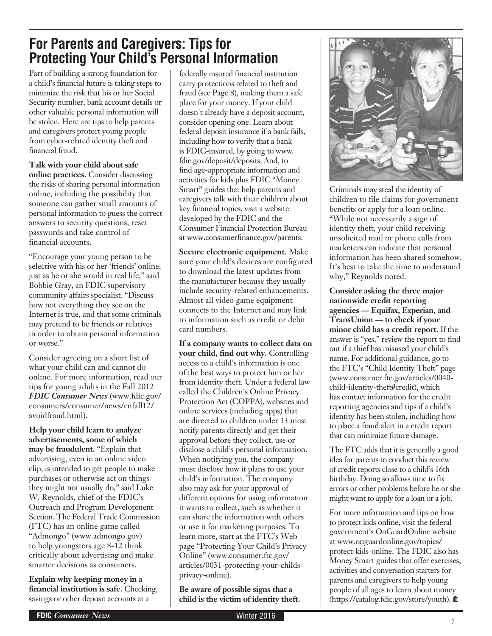## **For Parents and Caregivers: Tips for Protecting Your Child's Personal Information**

Part of building a strong foundation for a child's financial future is taking steps to minimize the risk that his or her Social Security number, bank account details or other valuable personal information will be stolen. Here are tips to help parents and caregivers protect young people from cyber-related identity theft and financial fraud.

**Talk with your child about safe online practices.** Consider discussing the risks of sharing personal information online, including the possibility that someone can gather small amounts of personal information to guess the correct answers to security questions, reset passwords and take control of financial accounts.

"Encourage your young person to be selective with his or her 'friends' online, just as he or she would in real life," said Bobbie Gray, an FDIC supervisory community affairs specialist. "Discuss how not everything they see on the Internet is true, and that some criminals may pretend to be friends or relatives in order to obtain personal information or worse."

Consider agreeing on a short list of what your child can and cannot do online. For more information, read our tips for young adults in the Fall 2012 *FDIC Consumer News* (www.fdic.gov/ consumers/consumer/news/cnfall12/ avoidfraud.html).

**Help your child learn to analyze advertisements, some of which may be fraudulent.** "Explain that advertising, even in an online video clip, is intended to get people to make purchases or otherwise act on things they might not usually do," said Luke W. Reynolds, chief of the FDIC's Outreach and Program Development Section. The Federal Trade Commission (FTC) has an online game called "Admongo" (www.admongo.gov) to help youngsters age 8-12 think critically about advertising and make smarter decisions as consumers.

**Explain why keeping money in a financial institution is safe.** Checking, savings or other deposit accounts at a

federally insured financial institution carry protections related to theft and fraud (see Page 8), making them a safe place for your money. If your child doesn't already have a deposit account, consider opening one. Learn about federal deposit insurance if a bank fails, including how to verify that a bank is FDIC-insured, by going to www. fdic.gov/deposit/deposits. And, to find age-appropriate information and activities for kids plus FDIC "Money Smart" guides that help parents and caregivers talk with their children about key financial topics, visit a website developed by the FDIC and the Consumer Financial Protection Bureau at www.consumerfinance.gov/parents.

**Secure electronic equipment.** Make sure your child's devices are configured to download the latest updates from the manufacturer because they usually include security-related enhancements. Almost all video game equipment connects to the Internet and may link to information such as credit or debit card numbers.

**If a company wants to collect data on your child, find out why.** Controlling access to a child's information is one of the best ways to protect him or her from identity theft. Under a federal law called the Children's Online Privacy Protection Act (COPPA), websites and online services (including apps) that are directed to children under 13 must notify parents directly and get their approval before they collect, use or disclose a child's personal information. When notifying you, the company must disclose how it plans to use your child's information. The company also may ask for your approval of different options for using information it wants to collect, such as whether it can share the information with others or use it for marketing purposes. To learn more, start at the FTC's Web page "Protecting Your Child's Privacy Online" (www.consumer.ftc.gov/ articles/0031-protecting-your-childsprivacy-online).

**Be aware of possible signs that a child is the victim of identity theft.** 



Criminals may steal the identity of children to file claims for government benefits or apply for a loan online. "While not necessarily a sign of identity theft, your child receiving unsolicited mail or phone calls from marketers can indicate that personal information has been shared somehow. It's best to take the time to understand why," Reynolds noted.

**Consider asking the three major nationwide credit reporting agencies — Equifax, Experian, and TransUnion — to check if your minor child has a credit report.** If the answer is "yes," review the report to find out if a thief has misused your child's name. For additional guidance, go to the FTC's "Child Identity Theft" page (www.consumer.ftc.gov/articles/0040 child-identity-theft#credit), which has contact information for the credit reporting agencies and tips if a child's identity has been stolen, including how to place a fraud alert in a credit report that can minimize future damage.

The FTC adds that it is generally a good idea for parents to conduct this review of credit reports close to a child's 16th birthday. Doing so allows time to fix errors or other problems before he or she might want to apply for a loan or a job.

For more information and tips on how to protect kids online, visit the federal government's OnGuardOnline website at www.onguardonline.gov/topics/ protect-kids-online. The FDIC also has Money Smart guides that offer exercises, activities and conversation starters for parents and caregivers to help young people of all ages to learn about money (https://catalog.fdic.gov/store/youth). Q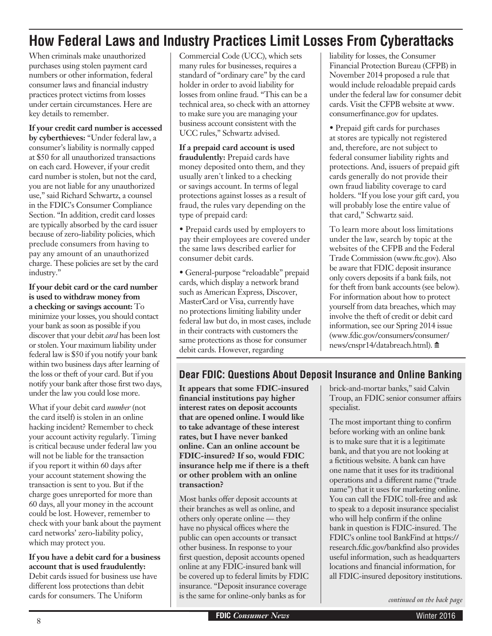# **How Federal Laws and Industry Practices Limit Losses From Cyberattacks**

When criminals make unauthorized purchases using stolen payment card numbers or other information, federal consumer laws and financial industry practices protect victims from losses under certain circumstances. Here are key details to remember.

**If your credit card number is accessed by cyberthieves:** "Under federal law, a consumer's liability is normally capped at \$50 for all unauthorized transactions on each card. However, if your credit card number is stolen, but not the card, you are not liable for any unauthorized use," said Richard Schwartz, a counsel in the FDIC's Consumer Compliance Section. "In addition, credit card losses are typically absorbed by the card issuer because of zero-liability policies, which preclude consumers from having to pay any amount of an unauthorized charge. These policies are set by the card industry."

**If your debit card or the card number is used to withdraw money from a checking or savings account:** To minimize your losses, you should contact your bank as soon as possible if you discover that your debit *card* has been lost or stolen. Your maximum liability under federal law is \$50 if you notify your bank within two business days after learning of the loss or theft of your card. But if you notify your bank after those first two days, under the law you could lose more.

What if your debit card *number* (not the card itself) is stolen in an online hacking incident? Remember to check your account activity regularly. Timing is critical because under federal law you will not be liable for the transaction if you report it within 60 days after your account statement showing the transaction is sent to you. But if the charge goes unreported for more than 60 days, all your money in the account could be lost. However, remember to check with your bank about the payment card networks' zero-liability policy, which may protect you.

**If you have a debit card for a business account that is used fraudulently:**  Debit cards issued for business use have different loss protections than debit cards for consumers. The Uniform

Commercial Code (UCC), which sets many rules for businesses, requires a standard of "ordinary care" by the card holder in order to avoid liability for losses from online fraud. "This can be a technical area, so check with an attorney to make sure you are managing your business account consistent with the UCC rules," Schwartz advised.

**If a prepaid card account is used fraudulently:** Prepaid cards have money deposited onto them, and they usually aren't linked to a checking or savings account. In terms of legal protections against losses as a result of fraud, the rules vary depending on the type of prepaid card:

• Prepaid cards used by employers to pay their employees are covered under the same laws described earlier for consumer debit cards.

• General-purpose "reloadable" prepaid cards, which display a network brand such as American Express, Discover, MasterCard or Visa, currently have no protections limiting liability under federal law but do, in most cases, include in their contracts with customers the same protections as those for consumer debit cards. However, regarding

liability for losses, the Consumer Financial Protection Bureau (CFPB) in November 2014 proposed a rule that would include reloadable prepaid cards under the federal law for consumer debit cards. Visit the CFPB website at www. consumerfinance.gov for updates.

• Prepaid gift cards for purchases at stores are typically not registered and, therefore, are not subject to federal consumer liability rights and protections. And, issuers of prepaid gift cards generally do not provide their own fraud liability coverage to card holders. "If you lose your gift card, you will probably lose the entire value of that card," Schwartz said.

To learn more about loss limitations under the law, search by topic at the websites of the CFPB and the Federal Trade Commission (www.ftc.gov). Also be aware that FDIC deposit insurance only covers deposits if a bank fails, not for theft from bank accounts (see below). For information about how to protect yourself from data breaches, which may involve the theft of credit or debit card information, see our Spring 2014 issue (www.fdic.gov/consumers/consumer/ news/cnspr14/databreach.html). Q

## **Dear FDIC: Questions About Deposit Insurance and Online Banking**

**It appears that some FDIC-insured financial institutions pay higher interest rates on deposit accounts that are opened online. I would like to take advantage of these interest rates, but I have never banked online. Can an online account be FDIC-insured? If so, would FDIC insurance help me if there is a theft or other problem with an online transaction?** 

Most banks offer deposit accounts at their branches as well as online, and others only operate online — they have no physical offices where the public can open accounts or transact other business. In response to your first question, deposit accounts opened online at any FDIC-insured bank will be covered up to federal limits by FDIC insurance. "Deposit insurance coverage is the same for online-only banks as for

brick-and-mortar banks," said Calvin Troup, an FDIC senior consumer affairs specialist.

The most important thing to confirm before working with an online bank is to make sure that it is a legitimate bank, and that you are not looking at a fictitious website. A bank can have one name that it uses for its traditional operations and a different name ("trade name") that it uses for marketing online. You can call the FDIC toll-free and ask to speak to a deposit insurance specialist who will help confirm if the online bank in question is FDIC-insured. The FDIC's online tool BankFind at https:// research.fdic.gov/bankfind also provides useful information, such as headquarters locations and financial information, for all FDIC-insured depository institutions.

*continued on the back page*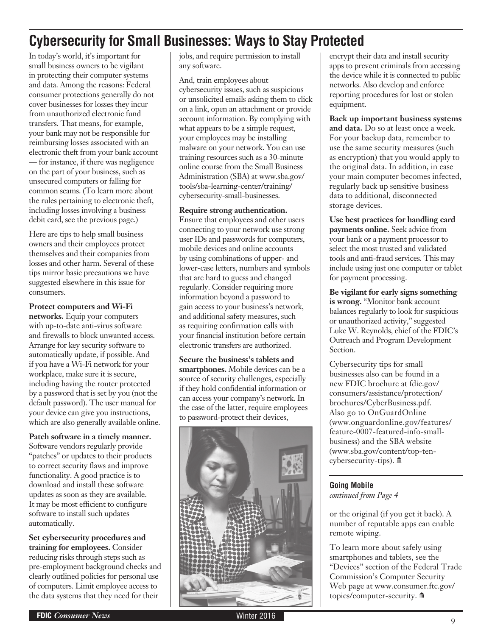# **Cybersecurity for Small Businesses: Ways to Stay Protected**

In today's world, it's important for small business owners to be vigilant in protecting their computer systems and data. Among the reasons: Federal consumer protections generally do not cover businesses for losses they incur from unauthorized electronic fund transfers. That means, for example, your bank may not be responsible for reimbursing losses associated with an electronic theft from your bank account — for instance, if there was negligence on the part of your business, such as unsecured computers or falling for common scams. (To learn more about the rules pertaining to electronic theft, including losses involving a business debit card, see the previous page.)

Here are tips to help small business owners and their employees protect themselves and their companies from losses and other harm. Several of these tips mirror basic precautions we have suggested elsewhere in this issue for consumers.

#### **Protect computers and Wi-Fi**

**networks.** Equip your computers with up-to-date anti-virus software and firewalls to block unwanted access. Arrange for key security software to automatically update, if possible. And if you have a Wi-Fi network for your workplace, make sure it is secure, including having the router protected by a password that is set by you (not the default password). The user manual for your device can give you instructions, which are also generally available online.

**Patch software in a timely manner.**  Software vendors regularly provide "patches" or updates to their products to correct security flaws and improve functionality. A good practice is to download and install these software updates as soon as they are available. It may be most efficient to configure software to install such updates automatically.

**Set cybersecurity procedures and training for employees.** Consider reducing risks through steps such as pre-employment background checks and clearly outlined policies for personal use of computers. Limit employee access to the data systems that they need for their

jobs, and require permission to install any software.

And, train employees about cybersecurity issues, such as suspicious or unsolicited emails asking them to click on a link, open an attachment or provide account information. By complying with what appears to be a simple request, your employees may be installing malware on your network. You can use training resources such as a 30-minute online course from the Small Business Administration (SBA) at www.sba.gov/ tools/sba-learning-center/training/ cybersecurity-small-businesses.

**Require strong authentication.**  Ensure that employees and other users connecting to your network use strong user IDs and passwords for computers, mobile devices and online accounts by using combinations of upper- and lower-case letters, numbers and symbols that are hard to guess and changed regularly. Consider requiring more information beyond a password to gain access to your business's network, and additional safety measures, such as requiring confirmation calls with your financial institution before certain electronic transfers are authorized.

**Secure the business's tablets and smartphones.** Mobile devices can be a source of security challenges, especially if they hold confidential information or can access your company's network. In the case of the latter, require employees to password-protect their devices,



encrypt their data and install security apps to prevent criminals from accessing the device while it is connected to public networks. Also develop and enforce reporting procedures for lost or stolen equipment.

**Back up important business systems and data.** Do so at least once a week. For your backup data, remember to use the same security measures (such as encryption) that you would apply to the original data. In addition, in case your main computer becomes infected, regularly back up sensitive business data to additional, disconnected storage devices.

**Use best practices for handling card payments online.** Seek advice from your bank or a payment processor to select the most trusted and validated tools and anti-fraud services. This may include using just one computer or tablet for payment processing.

**Be vigilant for early signs something is wrong.** "Monitor bank account balances regularly to look for suspicious or unauthorized activity," suggested Luke W. Reynolds, chief of the FDIC's Outreach and Program Development Section.

Cybersecurity tips for small businesses also can be found in a new FDIC brochure at fdic.gov/ consumers/assistance/protection/ brochures/CyberBusiness.pdf. Also go to OnGuardOnline (www.onguardonline.gov/features/ feature-0007-featured-info-smallbusiness) and the SBA website (www.sba.gov/content/top-tencybersecurity-tips).  $\mathbf{\hat{m}}$ 

## **Going Mobile**

*continued from Page 4*

or the original (if you get it back). A number of reputable apps can enable remote wiping.

To learn more about safely using smartphones and tablets, see the "Devices" section of the Federal Trade Commission's Computer Security Web page at www.consumer.ftc.gov/ topics/computer-security.  $\mathbf{\hat{m}}$ 

<sup>9</sup> **FDIC** *Consumer News* Winter 2016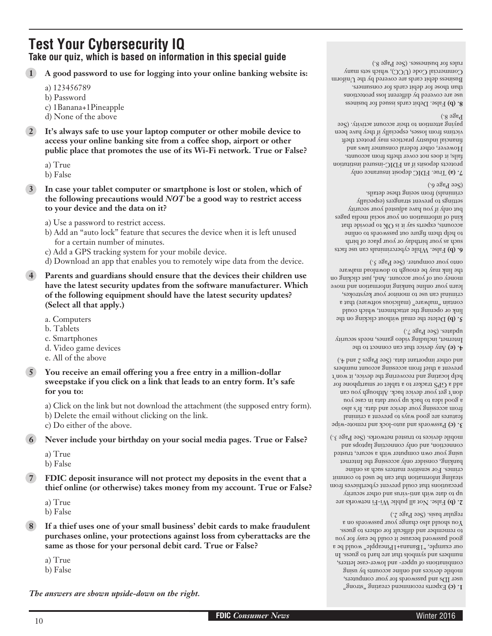# **Test Your Cybersecurity IQ**

**Take our quiz, which is based on information in this special guide**

- **1 A good password to use for logging into your online banking website is:**
	- a) 123456789
	- b) Password
	- c) 1Banana+1Pineapple
	- d) None of the above
- It's always safe to use your laptop computer or other mobile device to  **access your online banking site from a coffee shop, airport or other public place that promotes the use of its Wi-Fi network. True or False?**

a) True

b) False

- **3 In case your tablet computer or smartphone is lost or stolen, which of the following precautions would** *NOT* **be a good way to restrict access to your device and the data on it?**
	- a) Use a password to restrict access.
	- b) Add an "auto lock" feature that secures the device when it is left unused for a certain number of minutes.
	- c) Add a GPS tracking system for your mobile device.
	- d) Download an app that enables you to remotely wipe data from the device.
- **4 Parents and guardians should ensure that the devices their children use have the latest security updates from the software manufacturer. Which of the following equipment should have the latest security updates? (Select all that apply.)**
	- a. Computers
	- b. Tablets
	- c. Smartphones
	- d. Video game devices
	- e. All of the above

**5 You receive an email offering you a free entry in a million-dollar sweepstake if you click on a link that leads to an entry form. It's safe for you to:** 

 a) Click on the link but not download the attachment (the supposed entry form). b) Delete the email without clicking on the link.

c) Do either of the above.

**6 Never include your birthday on your social media pages. True or False?** 

 a) True b) False

**7 FDIC deposit insurance will not protect my deposits in the event that a thief online (or otherwise) takes money from my account. True or False?**

 a) True b) False

**8 If a thief uses one of your small business' debit cards to make fraudulent purchases online, your protections against loss from cyberattacks are the same as those for your personal debit card. True or False?**

 a) True b) False

*The answers are shown upside-down on the right.*

8. (b) False. Debit cards issued for business use are covered by different loss protections than those for debit cards for consumers. Business debit cards are covered by the Uniform Commercial Code (UCC), which sets many rules for businesses. (See Page 8.)

True. FDIC deposit insurance only **7. (a)**  protects deposits if an FDIC-insured institution fails; it does not cover thefts from accounts. However, other federal consumer laws and financial industry practices may protect theft victims from losses, especially if they have been paying attention to their account activity. (See  $P_{\text{age}}(8)$ 

 False. While cybercriminals can use facts **6. (b)** such as your birthday or your place of birth to help them figure out passwords to online accounts, experts say it is OK to provide that kind of information on your social media pages but only if you have adjusted your security settings to prevent strangers (especially criminals) from seeing these details. (See Page 6.)

link or opening the attachment, which could contain "malware" (malicious software) that a criminal can use to monitor your keystrokes, learn your online banking information and move money out of your account. And, just clicking on the link may be enough to download malware onto your computer. (See Page 5.)

Delete the email without clicking on the **5. (b)**

Internet, including video games, needs security updates. (See Page 7.)

 $\mathbf{A}$ . (e) Any device that can connect to the

 Passwords and auto-lock and remote-wipe **3. (c)** features are good ways to prevent a criminal from accessing your device and data. It's also a good idea to back up your data in case you don't get your device back. Although you can add a GPS tracker to a tablet or smartphone for help locating and recovering the device, it won't prevent a thief from accessing account numbers and other important data. (See Pages 2 and 4.)

2. **(b)** False. Not all public Wi-Fi networks are up to date with anti-virus and other security precautions that could prevent cyberthieves from stealing information that can be used to commit crimes. For sensitive matters such as online banking, consider only accessing the Internet using your own computer with a secure, trusted connection, and only connecting approps and mobile devices to trusted networks. (See Page 3.)

regular basis. (See Page 2.)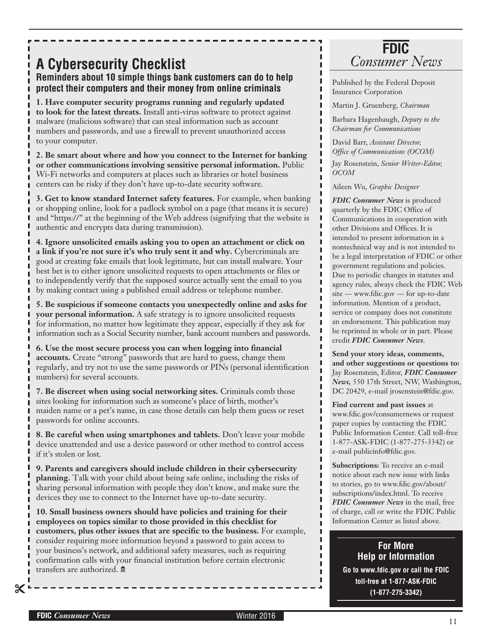## **A Cybersecurity Checklist Reminders about 10 simple things bank customers can do to help protect their computers and their money from online criminals**

**1. Have computer security programs running and regularly updated to look for the latest threats.** Install anti-virus software to protect against malware (malicious software) that can steal information such as account numbers and passwords, and use a firewall to prevent unauthorized access to your computer.

**2. Be smart about where and how you connect to the Internet for banking or other communications involving sensitive personal information.** Public Wi-Fi networks and computers at places such as libraries or hotel business centers can be risky if they don't have up-to-date security software.

**3. Get to know standard Internet safety features.** For example, when banking or shopping online, look for a padlock symbol on a page (that means it is secure) and "https://" at the beginning of the Web address (signifying that the website is authentic and encrypts data during transmission).

**4. Ignore unsolicited emails asking you to open an attachment or click on a link if you're not sure it's who truly sent it and why.** Cybercriminals are good at creating fake emails that look legitimate, but can install malware. Your best bet is to either ignore unsolicited requests to open attachments or files or to independently verify that the supposed source actually sent the email to you by making contact using a published email address or telephone number.

**5. Be suspicious if someone contacts you unexpectedly online and asks for your personal information.** A safe strategy is to ignore unsolicited requests for information, no matter how legitimate they appear, especially if they ask for information such as a Social Security number, bank account numbers and passwords.

**6. Use the most secure process you can when logging into financial accounts.** Create "strong" passwords that are hard to guess, change them regularly, and try not to use the same passwords or PINs (personal identification numbers) for several accounts.

**7. Be discreet when using social networking sites.** Criminals comb those sites looking for information such as someone's place of birth, mother's maiden name or a pet's name, in case those details can help them guess or reset passwords for online accounts.

**8. Be careful when using smartphones and tablets.** Don't leave your mobile device unattended and use a device password or other method to control access if it's stolen or lost.

**9. Parents and caregivers should include children in their cybersecurity planning.** Talk with your child about being safe online, including the risks of sharing personal information with people they don't know, and make sure the devices they use to connect to the Internet have up-to-date security.

**10. Small business owners should have policies and training for their employees on topics similar to those provided in this checklist for customers, plus other issues that are specific to the business.** For example, consider requiring more information beyond a password to gain access to your business's network, and additional safety measures, such as requiring confirmation calls with your financial institution before certain electronic transfers are authorized.  $\mathbf{\hat{m}}$ 



Published by the Federal Deposit Insurance Corporation

Martin J. Gruenberg, *Chairman*

Barbara Hagenbaugh, *Deputy to the Chairman for Communications*

David Barr, *Assistant Director, Office of Communications (OCOM)*

Jay Rosenstein, *Senior Writer-Editor, OCOM* 

Aileen Wu, *Graphic Designer*

*FDIC Consumer News* is produced quarterly by the FDIC Office of Communications in cooperation with other Divisions and Offices. It is intended to present information in a nontechnical way and is not intended to be a legal interpretation of FDIC or other government regulations and policies. Due to periodic changes in statutes and agency rules, always check the FDIC Web site — www.fdic.gov — for up-to-date information. Mention of a product, service or company does not constitute an endorsement. This publication may be reprinted in whole or in part. Please credit *FDIC Consumer News*.

**Send your story ideas, comments, and other suggestions or questions to:** Jay Rosenstein, Editor, *FDIC Consumer News,* 550 17th Street, NW, Washington, DC 20429, e-mail jrosenstein@fdic.gov.

**Find current and past issues** at www.fdic.gov/consumernews or request paper copies by contacting the FDIC Public Information Center. Call toll-free 1-877-ASK-FDIC (1-877-275-3342) or e-mail publicinfo@fdic.gov.

**Subscriptions:** To receive an e-mail notice about each new issue with links to stories, go to www.fdic.gov/about/ subscriptions/index.html. To receive *FDIC Consumer News* in the mail, free of charge, call or write the FDIC Public Information Center as listed above.

## **For More Help or Information**

**Go to www.fdic.gov or call the FDIC toll-free at 1-877-ASK-FDIC (1-877-275-3342)**